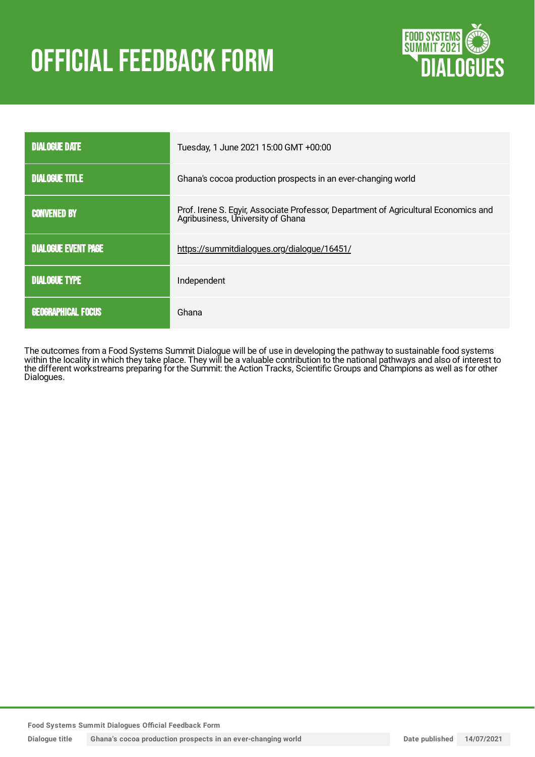# **OFFICIAL FEEDBACK FORM**



| <b>DIALOGUE DATE</b>       | Tuesday, 1 June 2021 15:00 GMT +00:00                                                                                    |
|----------------------------|--------------------------------------------------------------------------------------------------------------------------|
| <b>DIALOGUE TITLE</b>      | Ghana's cocoa production prospects in an ever-changing world                                                             |
| <b>CONVENED BY</b>         | Prof. Irene S. Egyir, Associate Professor, Department of Agricultural Economics and<br>Agribusiness, University of Ghana |
| <b>DIALOGUE EVENT PAGE</b> | https://summitdialogues.org/dialogue/16451/                                                                              |
| <b>DIALOGUE TYPE</b>       | Independent                                                                                                              |
| <b>GEOGRAPHICAL FOCUS</b>  | Ghana                                                                                                                    |

The outcomes from a Food Systems Summit Dialogue will be of use in developing the pathway to sustainable food systems within the locality in which they take place. They will be a valuable contribution to the national pathways and also of interest to the different workstreams preparing for the Summit: the Action Tracks, Scientific Groups and Champions as well as for other Dialogues.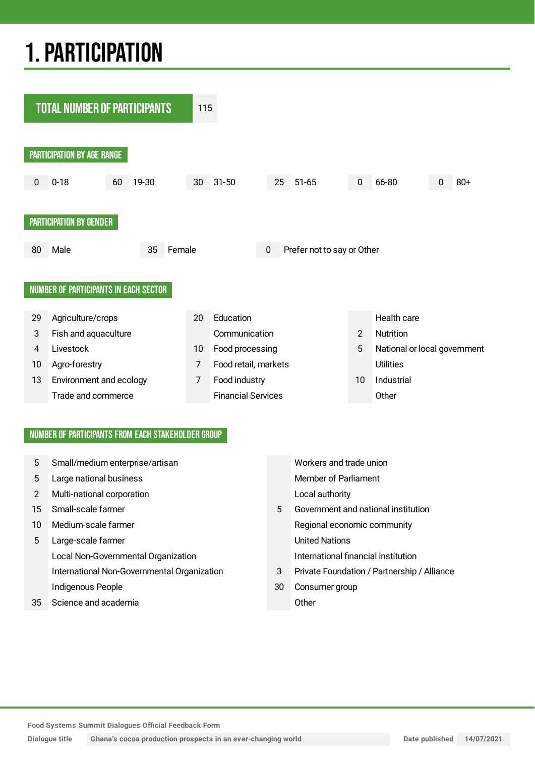# 1.PARTICIPATION



## NUMBER OF PARTICIPANTS FROM EACH STAKEHOLDER GROUP

| 5             | Small/medium enterprise/artisan             |    | Workers and trade union                     |
|---------------|---------------------------------------------|----|---------------------------------------------|
| 5             | Large national business                     |    | <b>Member of Parliament</b>                 |
| $\mathcal{P}$ | Multi-national corporation                  |    | Local authority                             |
| 15            | Small-scale farmer                          | 5  | Government and national institution         |
| 10            | Medium-scale farmer                         |    | Regional economic community                 |
| 5             | Large-scale farmer                          |    | <b>United Nations</b>                       |
|               | Local Non-Governmental Organization         |    | International financial institution         |
|               | International Non-Governmental Organization | 3  | Private Foundation / Partnership / Alliance |
|               | Indigenous People                           | 30 | Consumer group                              |
| 35            | Science and academia                        |    | Other                                       |
|               |                                             |    |                                             |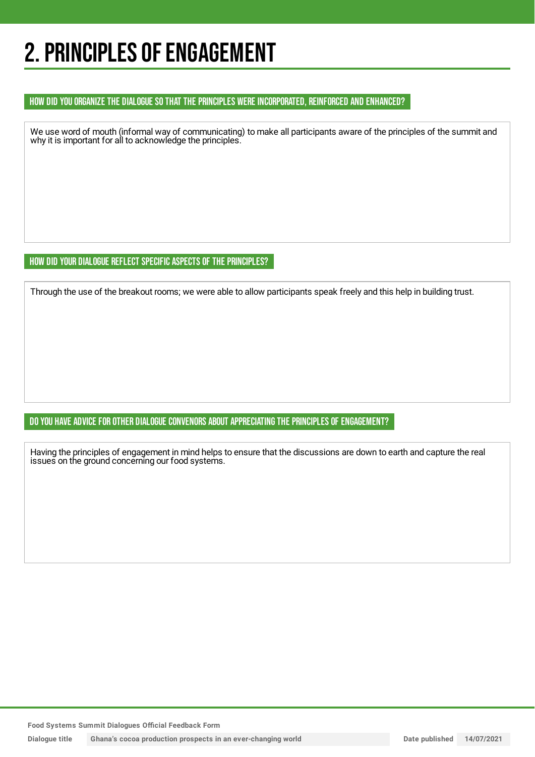# 2. PRINCIPLES OF ENGAGEMENT

## HOW DID YOU ORGANIZE THE DIALOGUE SO THAT THE PRINCIPLES WERE INCORPORATED, REINFORCED AND ENHANCED?

We use word of mouth (informal way of communicating) to make all participants aware of the principles of the summit and why it is important for all to acknowledge the principles.

## HOW DID YOUR DIALOGUE REFLECT SPECIFIC ASPECTS OF THE PRINCIPLES?

Through the use of the breakout rooms; we were able to allow participants speak freely and this help in building trust.

## DO YOU HAVE ADVICE FOR OTHER DIALOGUE CONVENORS ABOUT APPRECIATING THE PRINCIPLES OF ENGAGEMENT?

Having the principles of engagement in mind helps to ensure that the discussions are down to earth and capture the real issues on the ground concerning our food systems.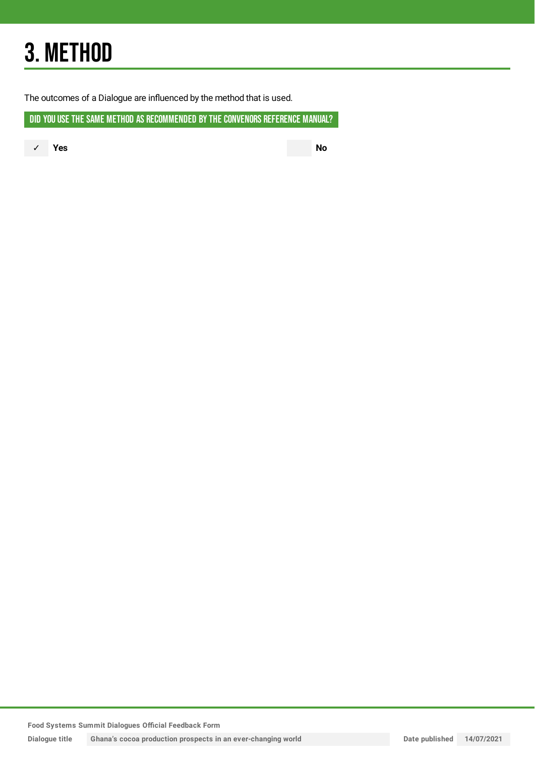# 3. METHOD

The outcomes of a Dialogue are influenced by the method that is used.

DID YOU USE THE SAME METHOD AS RECOMMENDED BY THE CONVENORS REFERENCE MANUAL?

✓ **Yes No**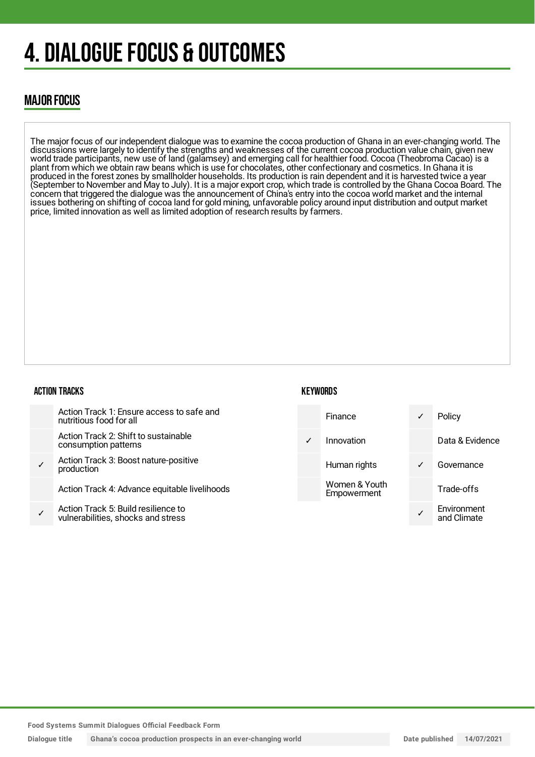# 4. DIALOGUE FOCUS & OUTCOMES

# MAJOR FOCUS

The major focus of our independent dialogue was to examine the cocoa production of Ghana in an ever-changing world. The discussions were largely to identify the strengths and weaknesses of the current cocoa production value chain, given new world trade participants, new use of land (galamsey) and emerging call for healthier food. Cocoa (Theobroma Cacao) is a plant from which we obtain raw beans which is use for chocolates, other confectionary and cosmetics. In Ghana it is produced in the forest zones by smallholder households. Its production is rain dependent and it is harvested twice a year (September to November and May to July). It is a major export crop, which trade is controlled by the Ghana Cocoa Board. The concern that triggered the dialogue was the announcement of China's entry into the cocoa world market and the internal issues bothering on shifting of cocoa land for gold mining, unfavorable policy around input distribution and output market price, limited innovation as well as limited adoption of research results by farmers.

## ACTION TRACKS

| <b>KEYWORDS</b> |  |
|-----------------|--|
|-----------------|--|



**Food Systems Summit Dialogues Official Feedback Form**

**Dialogue title Ghana's cocoa production prospects in an ever-changing world Date published 14/07/2021**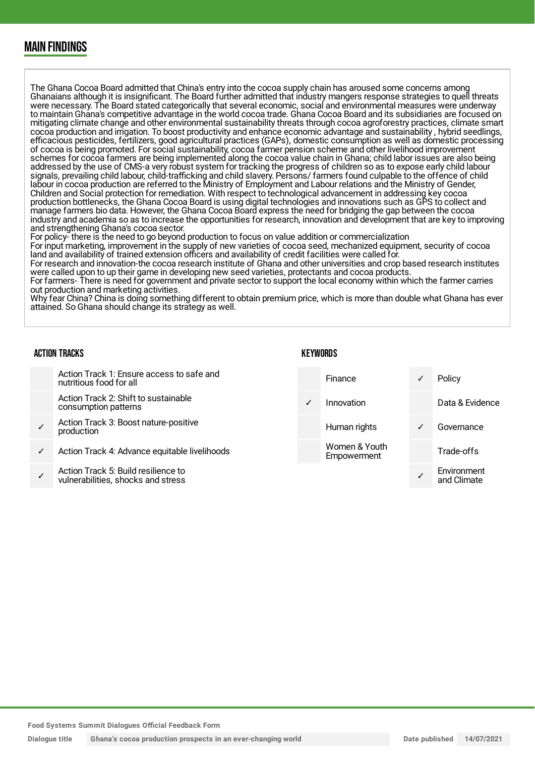# MAIN FINDINGS

The Ghana Cocoa Board admitted that China's entry into the cocoa supply chain has aroused some concerns among Ghanaians although it is insignificant. The Board further admitted that industry mangers response strategies to quell threats were necessary. The Board stated categorically that several economic, social and environmental measures were underway to maintain Ghana's competitive advantage in the world cocoa trade. Ghana Cocoa Board and its subsidiaries are focused on mitigating climate change and other environmental sustainability threats through cocoa agroforestry practices, climate smart cocoa production and irrigation. To boost productivity and enhance economic advantage and sustainability , hybrid seedlings, efficacious pesticides, fertilizers, good agricultural practices (GAPs), domestic consumption as well as domestic processing of cocoa is being promoted. For social sustainability, cocoa farmer pension scheme and other livelihood improvement schemes for cocoa farmers are being implemented along the cocoa value chain in Ghana; child labor issues are also being addressed by the use of CMS-a very robust system for tracking the progress of children so as to expose early child labour signals, prevailing child labour, child-trafficking and child slavery. Persons/ farmers found culpable to the offence of child labour in cocoa production are referred to the Ministry of Employment and Labour relations and the Ministry of Gender, Children and Social protection for remediation. With respect to technological advancement in addressing key cocoa production bottlenecks, the Ghana Cocoa Board is using digital technologies and innovations such as GPS to collect and manage farmers bio data. However, the Ghana Cocoa Board express the need for bridging the gap between the cocoa industry and academia so as to increase the opportunities for research, innovation and development that are key to improving and strengthening Ghana's cocoa sector.

For policy- there is the need to go beyond production to focus on value addition or commercialization

For input marketing, improvement in the supply of new varieties of cocoa seed, mechanized equipment, security of cocoa land and availability of trained extension officers and availability of credit facilities were called for.

For research and innovation-the cocoa research institute of Ghana and other universities and crop based research institutes were called upon to up their game in developing new seed varieties, protectants and cocoa products.

For farmers- There is need for government and private sector to support the local economy within which the farmer carries out production and marketing activities.

Why fear China? China is doing something different to obtain premium price, which is more than double what Ghana has ever attained. So Ghana should change its strategy as well.

#### ACTION TRACKS

#### **KEYWORDS**

| Action Track 1: Ensure access to safe and<br>nutritious food for all      |            | Finance                      | ✓ | Policy                     |
|---------------------------------------------------------------------------|------------|------------------------------|---|----------------------------|
| Action Track 2: Shift to sustainable<br>consumption patterns              | $\sqrt{ }$ | Innovation                   |   | Data & Evidence            |
| Action Track 3: Boost nature-positive<br>production                       |            | Human rights                 | ✓ | Governance                 |
| Action Track 4: Advance equitable livelihoods                             |            | Women & Youth<br>Empowerment |   | Trade-offs                 |
| Action Track 5: Build resilience to<br>vulnerabilities, shocks and stress |            |                              |   | Environment<br>and Climate |
|                                                                           |            |                              |   |                            |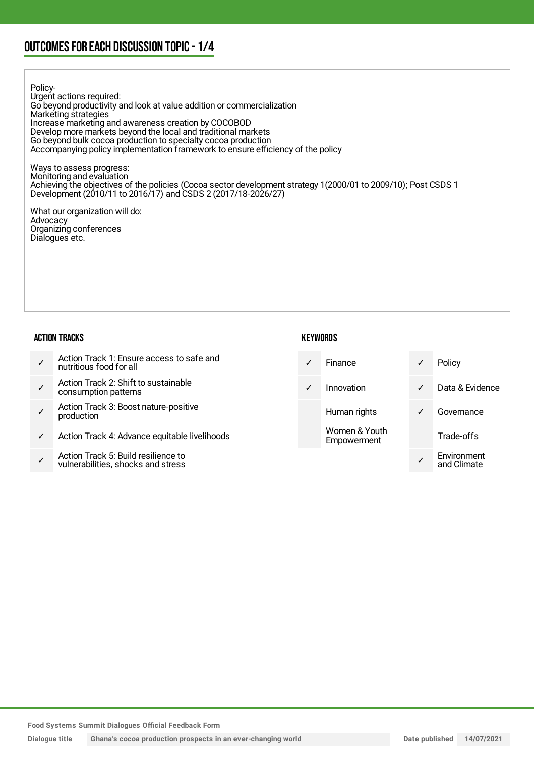# OUTCOMESFOR EACH DISCUSSION TOPIC- 1/4

Policy-Urgent actions required: Go beyond productivity and look at value addition or commercialization Marketing strategies Increase marketing and awareness creation by COCOBOD Develop more markets beyond the local and traditional markets Go beyond bulk cocoa production to specialty cocoa production Accompanying policy implementation framework to ensure efficiency of the policy

Ways to assess progress: Monitoring and evaluation Achieving the objectives of the policies (Cocoa sector development strategy 1(2000/01 to 2009/10); Post CSDS 1 Development (2010/11 to 2016/17) and CSDS 2 (2017/18-2026/27)

What our organization will do: Advocacy Organizing conferences Dialogues etc.

#### ACTION TRACKS

|   | Action Track 1: Ensure access to safe and<br>nutritious food for all      | $\sqrt{ }$   | <b>Finance</b>               | $\checkmark$ | Policy                     |
|---|---------------------------------------------------------------------------|--------------|------------------------------|--------------|----------------------------|
|   | Action Track 2: Shift to sustainable<br>consumption patterns              | $\checkmark$ | Innovation                   | $\checkmark$ | Data & Evidence            |
|   | Action Track 3: Boost nature-positive<br>production                       |              | Human rights                 | ✓            | Governance                 |
| ✓ | Action Track 4: Advance equitable livelihoods                             |              | Women & Youth<br>Empowerment |              | Trade-offs                 |
|   | Action Track 5: Build resilience to<br>vulnerabilities, shocks and stress |              |                              |              | Environment<br>and Climate |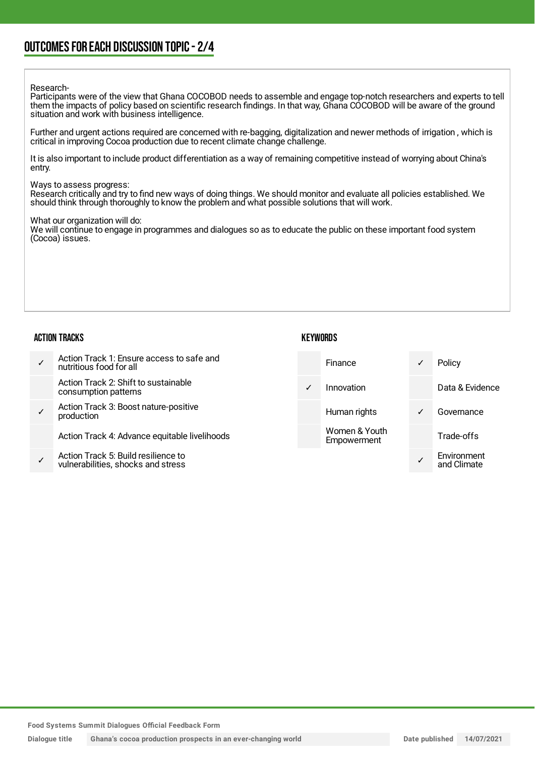# OUTCOMESFOR EACH DISCUSSION TOPIC- 2/4

#### Research-

Participants were of the view that Ghana COCOBOD needs to assemble and engage top-notch researchers and experts to tell them the impacts of policy based on scientific research findings. In that way, Ghana COCOBOD will be aware of the ground situation and work with business intelligence.

Further and urgent actions required are concerned with re-bagging, digitalization and newer methods of irrigation , which is critical in improving Cocoa production due to recent climate change challenge.

It is also important to include product differentiation as a way of remaining competitive instead of worrying about China's entry.

#### Ways to assess progress:

Research critically and try to find new ways of doing things. We should monitor and evaluate all policies established. We should think through thoroughly to know the problem and what possible solutions that will work.

#### What our organization will do:

We will continue to engage in programmes and dialogues so as to educate the public on these important food system (Cocoa) issues.

#### ACTION TRACKS

### **KEYWORDS**

| Action Track 1: Ensure access to safe and<br>nutritious food for all      |            | Finance                      | ✓            | Policy                     |
|---------------------------------------------------------------------------|------------|------------------------------|--------------|----------------------------|
| Action Track 2: Shift to sustainable<br>consumption patterns              | $\sqrt{2}$ | Innovation                   |              | Data & Evidence            |
| Action Track 3: Boost nature-positive<br>production                       |            | Human rights                 | $\checkmark$ | Governance                 |
| Action Track 4: Advance equitable livelihoods                             |            | Women & Youth<br>Empowerment |              | Trade-offs                 |
| Action Track 5: Build resilience to<br>vulnerabilities, shocks and stress |            |                              |              | Environment<br>and Climate |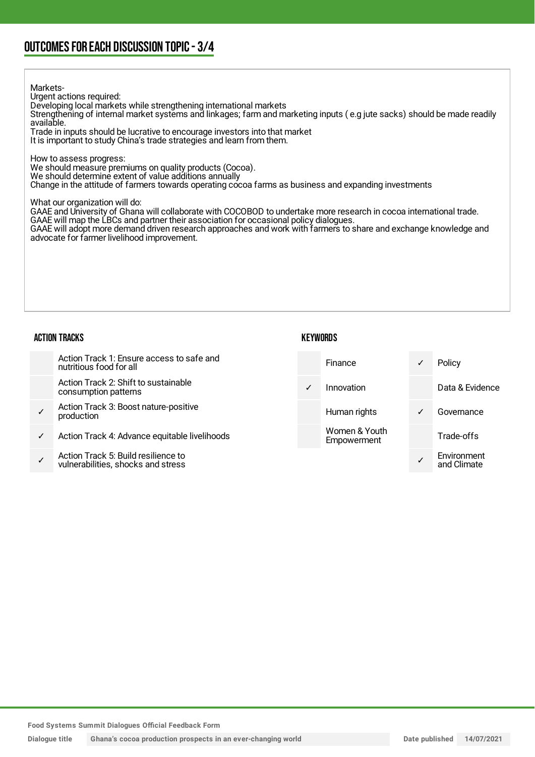# OUTCOMESFOR EACH DISCUSSION TOPIC- 3/4

#### Markets-

Urgent actions required:

Developing local markets while strengthening international markets

Strengthening of internal market systems and linkages; farm and marketing inputs ( e.g jute sacks) should be made readily available.

Trade in inputs should be lucrative to encourage investors into that market It is important to study China's trade strategies and learn from them.

How to assess progress:

We should measure premiums on quality products (Cocoa).

We should determine extent of value additions annually

Change in the attitude of farmers towards operating cocoa farms as business and expanding investments

What our organization will do:

GAAE and University of Ghana will collaborate with COCOBOD to undertake more research in cocoa international trade. GAAE will map the LBCs and partner their association for occasional policy dialogues.

GAAE will adopt more demand driven research approaches and work with farmers to share and exchange knowledge and advocate for farmer livelihood improvement.

#### ACTION TRACKS

### **KEYWORDS**

|              | Action Track 1: Ensure access to safe and<br>nutritious food for all      |              | Finance                      | $\checkmark$ | Policy                     |
|--------------|---------------------------------------------------------------------------|--------------|------------------------------|--------------|----------------------------|
|              | Action Track 2: Shift to sustainable<br>consumption patterns              | $\checkmark$ | Innovation                   |              | Data & Evidence            |
| $\checkmark$ | Action Track 3: Boost nature-positive<br>production                       |              | Human rights                 | $\checkmark$ | Governance                 |
| $\checkmark$ | Action Track 4: Advance equitable livelihoods                             |              | Women & Youth<br>Empowerment |              | Trade-offs                 |
|              | Action Track 5: Build resilience to<br>vulnerabilities, shocks and stress |              |                              |              | Environment<br>and Climate |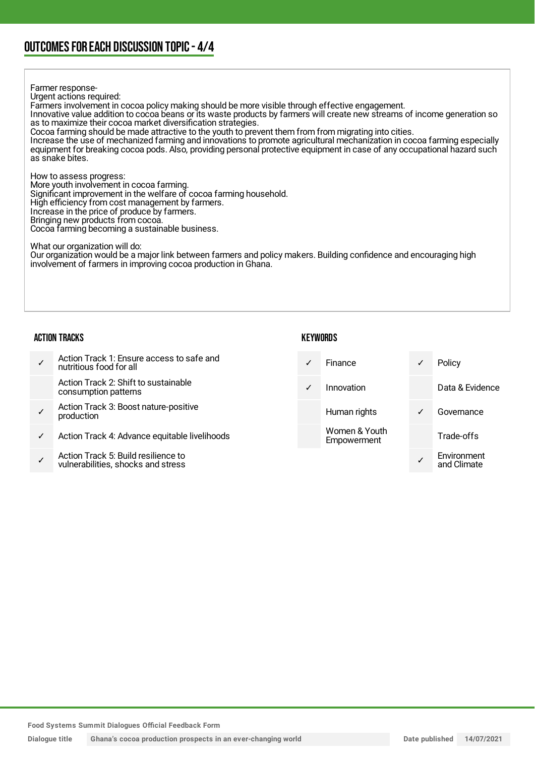### Farmer response-Urgent actions required: Farmers involvement in cocoa policy making should be more visible through effective engagement. Innovative value addition to cocoa beans or its waste products by farmers will create new streams of income generation so as to maximize their cocoa market diversification strategies. Cocoa farming should be made attractive to the youth to prevent them from from migrating into cities. Increase the use of mechanized farming and innovations to promote agricultural mechanization in cocoa farming especially equipment for breaking cocoa pods. Also, providing personal protective equipment in case of any occupational hazard such as snake bites. How to assess progress: More youth involvement in cocoa farming. Significant improvement in the welfare of cocoa farming household. High efficiency from cost management by farmers. Increase in the price of produce by farmers. Bringing new products from cocoa. Cocoa farming becoming a sustainable business. What our organization will do: Our organization would be a major link between farmers and policy makers. Building confidence and encouraging high involvement of farmers in improving cocoa production in Ghana.

### ACTION TRACKS

### **KEYWORDS**

|   | Action Track 1: Ensure access to safe and<br>nutritious food for all      | $\checkmark$ | <b>Finance</b>               | ✓            | Policy                     |
|---|---------------------------------------------------------------------------|--------------|------------------------------|--------------|----------------------------|
|   | Action Track 2: Shift to sustainable<br>consumption patterns              | $\sqrt{2}$   | Innovation                   |              | Data & Evidence            |
|   | Action Track 3: Boost nature-positive<br>production                       |              | Human rights                 | $\checkmark$ | Governance                 |
| ✓ | Action Track 4: Advance equitable livelihoods                             |              | Women & Youth<br>Empowerment |              | Trade-offs                 |
|   | Action Track 5: Build resilience to<br>vulnerabilities, shocks and stress |              |                              |              | Environment<br>and Climate |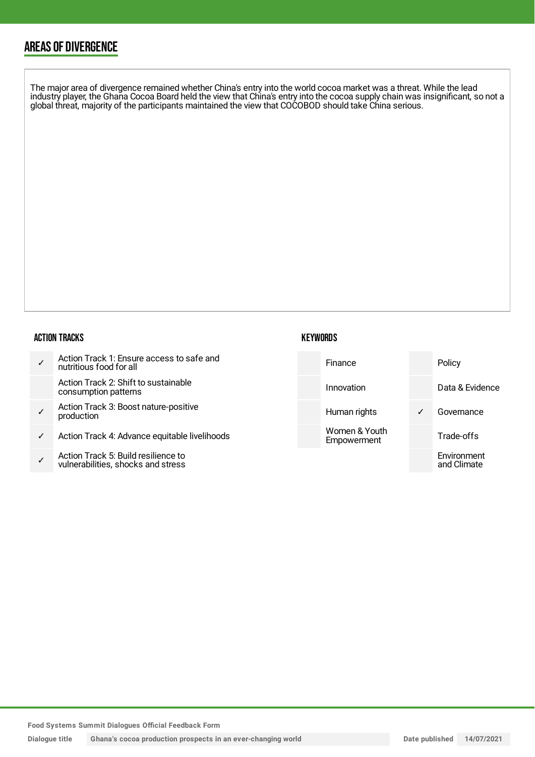# AREAS OF DIVERGENCE

The major area of divergence remained whether China's entry into the world cocoa market was a threat. While the lead industry player, the Ghana Cocoa Board held the view that China's entry into the cocoa supply chain was insignificant, so not a global threat, majority of the participants maintained the view that COCOBOD should take China serious.

### ACTION TRACKS

| $\checkmark$ | Action Track 1: Ensure access to safe and<br>nutritious food for all      | Finance                      | Policy                     |
|--------------|---------------------------------------------------------------------------|------------------------------|----------------------------|
|              | Action Track 2: Shift to sustainable<br>consumption patterns              | Innovation                   | Data & Evidence            |
|              | Action Track 3: Boost nature-positive<br>production                       | Human rights                 | Governance                 |
| $\checkmark$ | Action Track 4: Advance equitable livelihoods                             | Women & Youth<br>Empowerment | Trade-offs                 |
|              | Action Track 5: Build resilience to<br>vulnerabilities, shocks and stress |                              | Environment<br>and Climate |

**KEYWORDS**